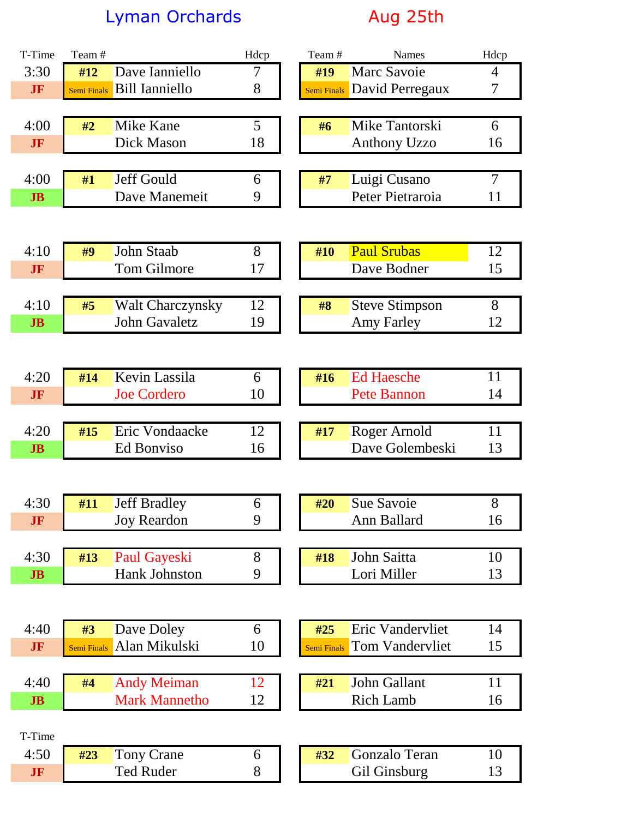## Lyman Orchards **Aug 25th**

| T-Time         | Team#              |                                       | Hdcp   | Team#       | Names                  | Hdcp           |
|----------------|--------------------|---------------------------------------|--------|-------------|------------------------|----------------|
| 3:30           | #12                | Dave Ianniello                        | 7      | #19         | Marc Savoie            | 4              |
| <b>JF</b>      | <b>Semi Finals</b> | <b>Bill Ianniello</b>                 | 8      | Semi Finals | David Perregaux        | 7              |
|                |                    |                                       |        |             |                        |                |
| 4:00           | #2                 | Mike Kane                             | 5      | #6          | Mike Tantorski         | 6              |
| <b>JF</b>      |                    | Dick Mason                            | 18     |             | <b>Anthony Uzzo</b>    | 16             |
|                |                    |                                       |        |             |                        |                |
| 4:00           | #1                 | Jeff Gould                            | 6      | #7          | Luigi Cusano           | $\overline{7}$ |
| J <sub>B</sub> |                    | Dave Manemeit                         | 9      |             | Peter Pietraroia       | 11             |
|                |                    |                                       |        |             |                        |                |
|                |                    |                                       |        |             |                        |                |
| 4:10           | #9                 | <b>John Staab</b>                     | 8      | #10         | <b>Paul Srubas</b>     | 12             |
| <b>JF</b>      |                    | <b>Tom Gilmore</b>                    | 17     |             | Dave Bodner            | 15             |
|                |                    |                                       |        |             |                        |                |
| 4:10           | #5                 | <b>Walt Charczynsky</b>               | 12     | #8          | <b>Steve Stimpson</b>  | 8              |
| J <sub>B</sub> |                    | <b>John Gavaletz</b>                  | 19     |             | <b>Amy Farley</b>      | 12             |
|                |                    |                                       |        |             |                        |                |
|                |                    |                                       |        |             |                        |                |
| 4:20           | #14                | Kevin Lassila                         | 6      | #16         | <b>Ed Haesche</b>      | 11             |
| <b>JF</b>      |                    | <b>Joe Cordero</b>                    | 10     |             | <b>Pete Bannon</b>     | 14             |
| 4:20           | #15                | Eric Vondaacke                        | 12     | #17         | Roger Arnold           | 11             |
| J <sub>B</sub> |                    | <b>Ed Bonviso</b>                     | 16     |             | Dave Golembeski        | 13             |
|                |                    |                                       |        |             |                        |                |
|                |                    |                                       |        |             |                        |                |
| 4:30           | #11                | <b>Jeff Bradley</b>                   | 6      | #20         | Sue Savoie             | 8              |
| <b>JF</b>      |                    | <b>Joy Reardon</b>                    | 9      |             | Ann Ballard            | 16             |
|                |                    |                                       |        |             |                        |                |
| 4:30           | #13                | <b>Paul Gayeski</b>                   | 8      | #18         | John Saitta            | 10             |
| J <sub>B</sub> |                    | Hank Johnston                         | 9      |             | Lori Miller            | 13             |
|                |                    |                                       |        |             |                        |                |
|                |                    |                                       |        |             |                        |                |
| 4:40           | #3                 | Dave Doley                            | 6      | #25         | Eric Vandervliet       | 14             |
| <b>JF</b>      | Semi Finals        | Alan Mikulski                         | 10     | Semi Finals | <b>Tom Vandervliet</b> | 15             |
|                |                    |                                       |        |             |                        |                |
| 4:40           | #4                 | <b>Andy Meiman</b>                    | 12     | #21         | John Gallant           | 11             |
| J <sub>B</sub> |                    | <b>Mark Mannetho</b>                  | 12     |             | <b>Rich Lamb</b>       | 16             |
|                |                    |                                       |        |             |                        |                |
| T-Time         |                    |                                       |        |             |                        |                |
| 4:50           | #23                | <b>Tony Crane</b><br><b>Ted Ruder</b> | 6<br>8 | #32         | Gonzalo Teran          | 10             |
| JF             |                    |                                       |        |             | Gil Ginsburg           | 13             |